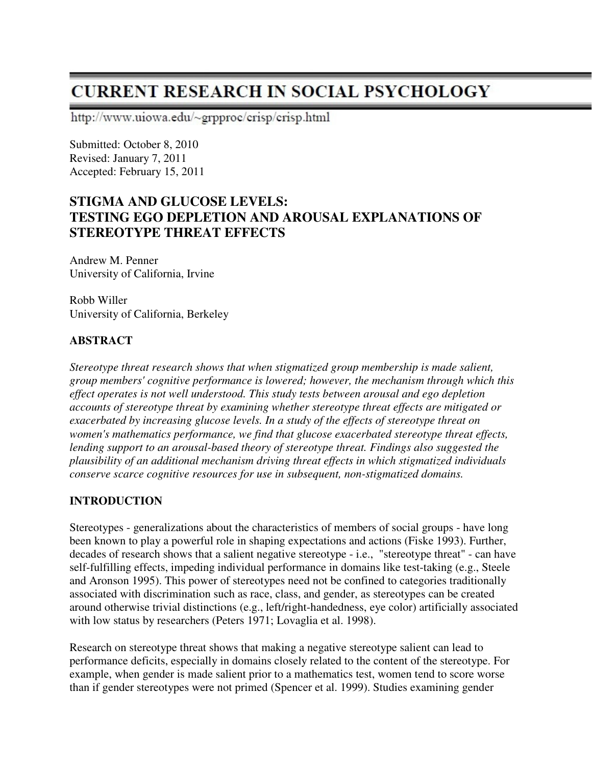# **CURRENT RESEARCH IN SOCIAL PSYCHOLOGY**

http://www.uiowa.edu/~grpproc/crisp/crisp.html

Submitted: October 8, 2010 Revised: January 7, 2011 Accepted: February 15, 2011

## **STIGMA AND GLUCOSE LEVELS: TESTING EGO DEPLETION AND AROUSAL EXPLANATIONS OF STEREOTYPE THREAT EFFECTS**

Andrew M. Penner University of California, Irvine

Robb Willer University of California, Berkeley

## **ABSTRACT**

*Stereotype threat research shows that when stigmatized group membership is made salient, group members' cognitive performance is lowered; however, the mechanism through which this effect operates is not well understood. This study tests between arousal and ego depletion accounts of stereotype threat by examining whether stereotype threat effects are mitigated or exacerbated by increasing glucose levels. In a study of the effects of stereotype threat on women's mathematics performance, we find that glucose exacerbated stereotype threat effects, lending support to an arousal-based theory of stereotype threat. Findings also suggested the plausibility of an additional mechanism driving threat effects in which stigmatized individuals conserve scarce cognitive resources for use in subsequent, non-stigmatized domains.* 

## **INTRODUCTION**

Stereotypes - generalizations about the characteristics of members of social groups - have long been known to play a powerful role in shaping expectations and actions (Fiske 1993). Further, decades of research shows that a salient negative stereotype - i.e., "stereotype threat" - can have self-fulfilling effects, impeding individual performance in domains like test-taking (e.g., Steele and Aronson 1995). This power of stereotypes need not be confined to categories traditionally associated with discrimination such as race, class, and gender, as stereotypes can be created around otherwise trivial distinctions (e.g., left/right-handedness, eye color) artificially associated with low status by researchers (Peters 1971; Lovaglia et al. 1998).

Research on stereotype threat shows that making a negative stereotype salient can lead to performance deficits, especially in domains closely related to the content of the stereotype. For example, when gender is made salient prior to a mathematics test, women tend to score worse than if gender stereotypes were not primed (Spencer et al. 1999). Studies examining gender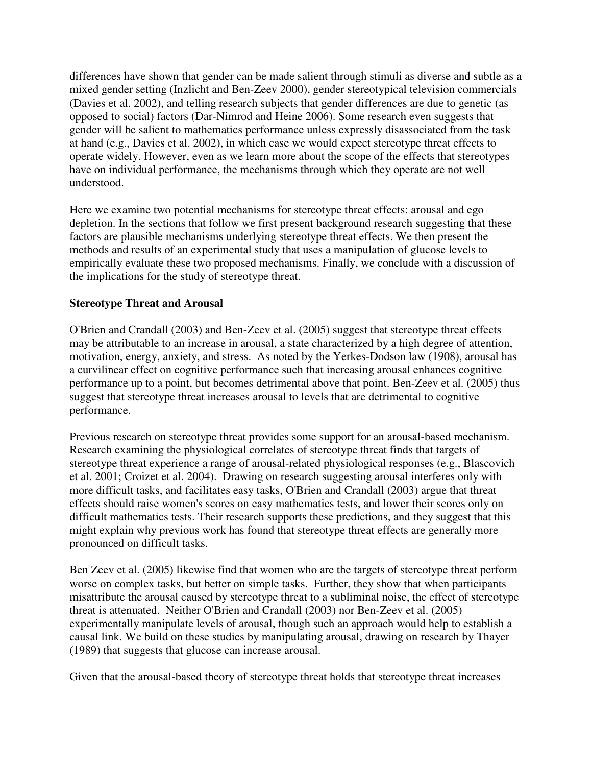differences have shown that gender can be made salient through stimuli as diverse and subtle as a mixed gender setting (Inzlicht and Ben-Zeev 2000), gender stereotypical television commercials (Davies et al. 2002), and telling research subjects that gender differences are due to genetic (as opposed to social) factors (Dar-Nimrod and Heine 2006). Some research even suggests that gender will be salient to mathematics performance unless expressly disassociated from the task at hand (e.g., Davies et al. 2002), in which case we would expect stereotype threat effects to operate widely. However, even as we learn more about the scope of the effects that stereotypes have on individual performance, the mechanisms through which they operate are not well understood.

Here we examine two potential mechanisms for stereotype threat effects: arousal and ego depletion. In the sections that follow we first present background research suggesting that these factors are plausible mechanisms underlying stereotype threat effects. We then present the methods and results of an experimental study that uses a manipulation of glucose levels to empirically evaluate these two proposed mechanisms. Finally, we conclude with a discussion of the implications for the study of stereotype threat.

## **Stereotype Threat and Arousal**

O'Brien and Crandall (2003) and Ben-Zeev et al. (2005) suggest that stereotype threat effects may be attributable to an increase in arousal, a state characterized by a high degree of attention, motivation, energy, anxiety, and stress. As noted by the Yerkes-Dodson law (1908), arousal has a curvilinear effect on cognitive performance such that increasing arousal enhances cognitive performance up to a point, but becomes detrimental above that point. Ben-Zeev et al. (2005) thus suggest that stereotype threat increases arousal to levels that are detrimental to cognitive performance.

Previous research on stereotype threat provides some support for an arousal-based mechanism. Research examining the physiological correlates of stereotype threat finds that targets of stereotype threat experience a range of arousal-related physiological responses (e.g., Blascovich et al. 2001; Croizet et al. 2004). Drawing on research suggesting arousal interferes only with more difficult tasks, and facilitates easy tasks, O'Brien and Crandall (2003) argue that threat effects should raise women's scores on easy mathematics tests, and lower their scores only on difficult mathematics tests. Their research supports these predictions, and they suggest that this might explain why previous work has found that stereotype threat effects are generally more pronounced on difficult tasks.

Ben Zeev et al. (2005) likewise find that women who are the targets of stereotype threat perform worse on complex tasks, but better on simple tasks. Further, they show that when participants misattribute the arousal caused by stereotype threat to a subliminal noise, the effect of stereotype threat is attenuated. Neither O'Brien and Crandall (2003) nor Ben-Zeev et al. (2005) experimentally manipulate levels of arousal, though such an approach would help to establish a causal link. We build on these studies by manipulating arousal, drawing on research by Thayer (1989) that suggests that glucose can increase arousal.

Given that the arousal-based theory of stereotype threat holds that stereotype threat increases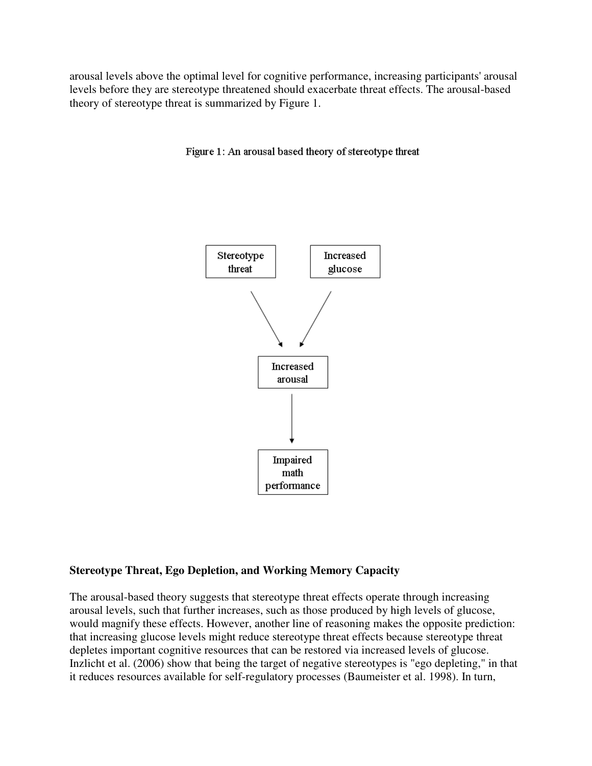arousal levels above the optimal level for cognitive performance, increasing participants' arousal levels before they are stereotype threatened should exacerbate threat effects. The arousal-based theory of stereotype threat is summarized by Figure 1.





### **Stereotype Threat, Ego Depletion, and Working Memory Capacity**

The arousal-based theory suggests that stereotype threat effects operate through increasing arousal levels, such that further increases, such as those produced by high levels of glucose, would magnify these effects. However, another line of reasoning makes the opposite prediction: that increasing glucose levels might reduce stereotype threat effects because stereotype threat depletes important cognitive resources that can be restored via increased levels of glucose. Inzlicht et al. (2006) show that being the target of negative stereotypes is "ego depleting," in that it reduces resources available for self-regulatory processes (Baumeister et al. 1998). In turn,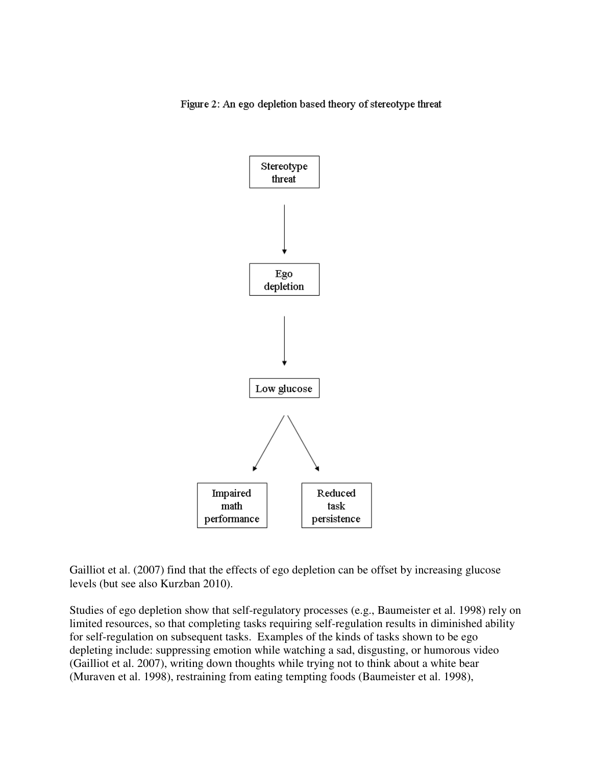Figure 2: An ego depletion based theory of stereotype threat



Gailliot et al. (2007) find that the effects of ego depletion can be offset by increasing glucose levels (but see also Kurzban 2010).

Studies of ego depletion show that self-regulatory processes (e.g., Baumeister et al. 1998) rely on limited resources, so that completing tasks requiring self-regulation results in diminished ability for self-regulation on subsequent tasks. Examples of the kinds of tasks shown to be ego depleting include: suppressing emotion while watching a sad, disgusting, or humorous video (Gailliot et al. 2007), writing down thoughts while trying not to think about a white bear (Muraven et al. 1998), restraining from eating tempting foods (Baumeister et al. 1998),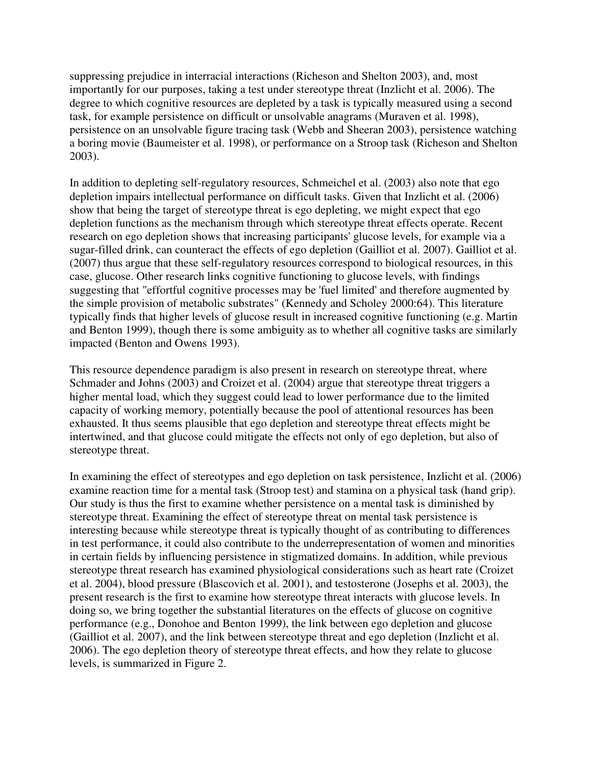suppressing prejudice in interracial interactions (Richeson and Shelton 2003), and, most importantly for our purposes, taking a test under stereotype threat (Inzlicht et al. 2006). The degree to which cognitive resources are depleted by a task is typically measured using a second task, for example persistence on difficult or unsolvable anagrams (Muraven et al. 1998), persistence on an unsolvable figure tracing task (Webb and Sheeran 2003), persistence watching a boring movie (Baumeister et al. 1998), or performance on a Stroop task (Richeson and Shelton 2003).

In addition to depleting self-regulatory resources, Schmeichel et al. (2003) also note that ego depletion impairs intellectual performance on difficult tasks. Given that Inzlicht et al. (2006) show that being the target of stereotype threat is ego depleting, we might expect that ego depletion functions as the mechanism through which stereotype threat effects operate. Recent research on ego depletion shows that increasing participants' glucose levels, for example via a sugar-filled drink, can counteract the effects of ego depletion (Gailliot et al. 2007). Gailliot et al. (2007) thus argue that these self-regulatory resources correspond to biological resources, in this case, glucose. Other research links cognitive functioning to glucose levels, with findings suggesting that "effortful cognitive processes may be 'fuel limited' and therefore augmented by the simple provision of metabolic substrates" (Kennedy and Scholey 2000:64). This literature typically finds that higher levels of glucose result in increased cognitive functioning (e.g. Martin and Benton 1999), though there is some ambiguity as to whether all cognitive tasks are similarly impacted (Benton and Owens 1993).

This resource dependence paradigm is also present in research on stereotype threat, where Schmader and Johns (2003) and Croizet et al. (2004) argue that stereotype threat triggers a higher mental load, which they suggest could lead to lower performance due to the limited capacity of working memory, potentially because the pool of attentional resources has been exhausted. It thus seems plausible that ego depletion and stereotype threat effects might be intertwined, and that glucose could mitigate the effects not only of ego depletion, but also of stereotype threat.

In examining the effect of stereotypes and ego depletion on task persistence, Inzlicht et al. (2006) examine reaction time for a mental task (Stroop test) and stamina on a physical task (hand grip). Our study is thus the first to examine whether persistence on a mental task is diminished by stereotype threat. Examining the effect of stereotype threat on mental task persistence is interesting because while stereotype threat is typically thought of as contributing to differences in test performance, it could also contribute to the underrepresentation of women and minorities in certain fields by influencing persistence in stigmatized domains. In addition, while previous stereotype threat research has examined physiological considerations such as heart rate (Croizet et al. 2004), blood pressure (Blascovich et al. 2001), and testosterone (Josephs et al. 2003), the present research is the first to examine how stereotype threat interacts with glucose levels. In doing so, we bring together the substantial literatures on the effects of glucose on cognitive performance (e.g., Donohoe and Benton 1999), the link between ego depletion and glucose (Gailliot et al. 2007), and the link between stereotype threat and ego depletion (Inzlicht et al. 2006). The ego depletion theory of stereotype threat effects, and how they relate to glucose levels, is summarized in Figure 2.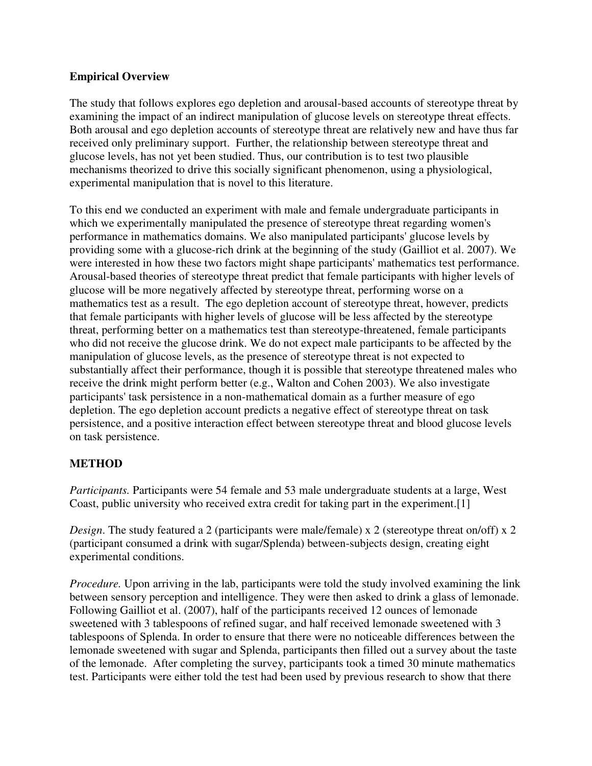## **Empirical Overview**

The study that follows explores ego depletion and arousal-based accounts of stereotype threat by examining the impact of an indirect manipulation of glucose levels on stereotype threat effects. Both arousal and ego depletion accounts of stereotype threat are relatively new and have thus far received only preliminary support. Further, the relationship between stereotype threat and glucose levels, has not yet been studied. Thus, our contribution is to test two plausible mechanisms theorized to drive this socially significant phenomenon, using a physiological, experimental manipulation that is novel to this literature.

To this end we conducted an experiment with male and female undergraduate participants in which we experimentally manipulated the presence of stereotype threat regarding women's performance in mathematics domains. We also manipulated participants' glucose levels by providing some with a glucose-rich drink at the beginning of the study (Gailliot et al. 2007). We were interested in how these two factors might shape participants' mathematics test performance. Arousal-based theories of stereotype threat predict that female participants with higher levels of glucose will be more negatively affected by stereotype threat, performing worse on a mathematics test as a result. The ego depletion account of stereotype threat, however, predicts that female participants with higher levels of glucose will be less affected by the stereotype threat, performing better on a mathematics test than stereotype-threatened, female participants who did not receive the glucose drink. We do not expect male participants to be affected by the manipulation of glucose levels, as the presence of stereotype threat is not expected to substantially affect their performance, though it is possible that stereotype threatened males who receive the drink might perform better (e.g., Walton and Cohen 2003). We also investigate participants' task persistence in a non-mathematical domain as a further measure of ego depletion. The ego depletion account predicts a negative effect of stereotype threat on task persistence, and a positive interaction effect between stereotype threat and blood glucose levels on task persistence.

## **METHOD**

*Participants.* Participants were 54 female and 53 male undergraduate students at a large, West Coast, public university who received extra credit for taking part in the experiment.[1]

*Design*. The study featured a 2 (participants were male/female) x 2 (stereotype threat on/off) x 2 (participant consumed a drink with sugar/Splenda) between-subjects design, creating eight experimental conditions.

*Procedure.* Upon arriving in the lab, participants were told the study involved examining the link between sensory perception and intelligence. They were then asked to drink a glass of lemonade. Following Gailliot et al. (2007), half of the participants received 12 ounces of lemonade sweetened with 3 tablespoons of refined sugar, and half received lemonade sweetened with 3 tablespoons of Splenda. In order to ensure that there were no noticeable differences between the lemonade sweetened with sugar and Splenda, participants then filled out a survey about the taste of the lemonade. After completing the survey, participants took a timed 30 minute mathematics test. Participants were either told the test had been used by previous research to show that there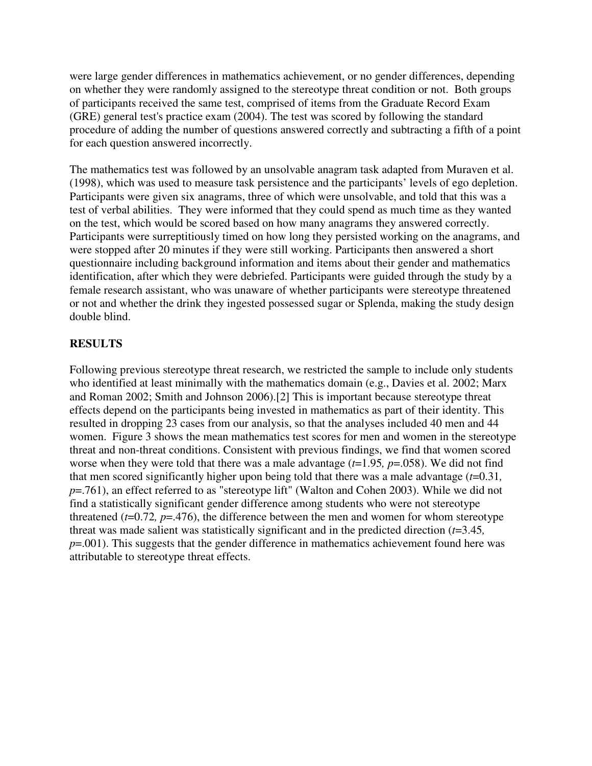were large gender differences in mathematics achievement, or no gender differences, depending on whether they were randomly assigned to the stereotype threat condition or not. Both groups of participants received the same test, comprised of items from the Graduate Record Exam (GRE) general test's practice exam (2004). The test was scored by following the standard procedure of adding the number of questions answered correctly and subtracting a fifth of a point for each question answered incorrectly.

The mathematics test was followed by an unsolvable anagram task adapted from Muraven et al. (1998), which was used to measure task persistence and the participants' levels of ego depletion. Participants were given six anagrams, three of which were unsolvable, and told that this was a test of verbal abilities. They were informed that they could spend as much time as they wanted on the test, which would be scored based on how many anagrams they answered correctly. Participants were surreptitiously timed on how long they persisted working on the anagrams, and were stopped after 20 minutes if they were still working. Participants then answered a short questionnaire including background information and items about their gender and mathematics identification, after which they were debriefed. Participants were guided through the study by a female research assistant, who was unaware of whether participants were stereotype threatened or not and whether the drink they ingested possessed sugar or Splenda, making the study design double blind.

## **RESULTS**

Following previous stereotype threat research, we restricted the sample to include only students who identified at least minimally with the mathematics domain (e.g., Davies et al. 2002; Marx and Roman 2002; Smith and Johnson 2006).[2] This is important because stereotype threat effects depend on the participants being invested in mathematics as part of their identity. This resulted in dropping 23 cases from our analysis, so that the analyses included 40 men and 44 women. Figure 3 shows the mean mathematics test scores for men and women in the stereotype threat and non-threat conditions. Consistent with previous findings, we find that women scored worse when they were told that there was a male advantage (*t*=1.95*, p*=.058). We did not find that men scored significantly higher upon being told that there was a male advantage (*t*=0.31*, p*=.761), an effect referred to as "stereotype lift" (Walton and Cohen 2003). While we did not find a statistically significant gender difference among students who were not stereotype threatened  $(t=0.72, p=.476)$ , the difference between the men and women for whom stereotype threat was made salient was statistically significant and in the predicted direction (*t*=3.45*,*   $p=0.001$ ). This suggests that the gender difference in mathematics achievement found here was attributable to stereotype threat effects.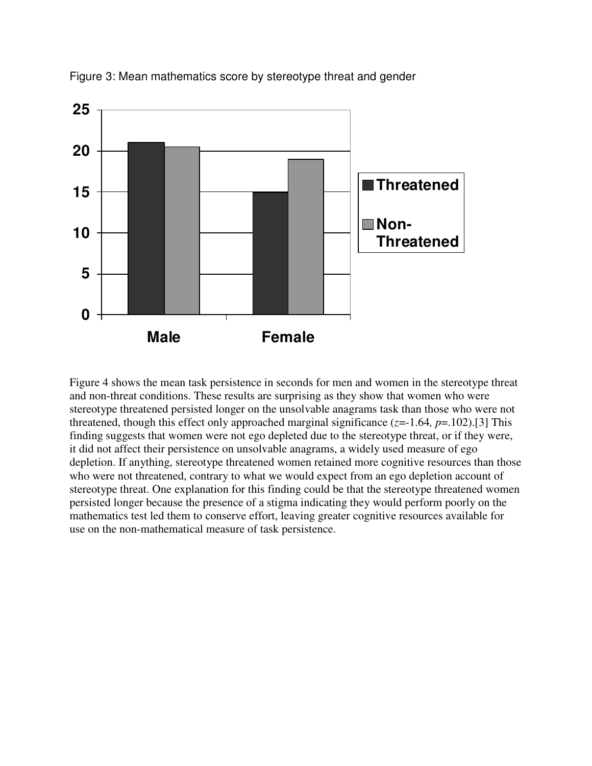

Figure 3: Mean mathematics score by stereotype threat and gender

Figure 4 shows the mean task persistence in seconds for men and women in the stereotype threat and non-threat conditions. These results are surprising as they show that women who were stereotype threatened persisted longer on the unsolvable anagrams task than those who were not threatened, though this effect only approached marginal significance  $(z=1.64, p=.102)$ .[3] This finding suggests that women were not ego depleted due to the stereotype threat, or if they were, it did not affect their persistence on unsolvable anagrams, a widely used measure of ego depletion. If anything, stereotype threatened women retained more cognitive resources than those who were not threatened, contrary to what we would expect from an ego depletion account of stereotype threat. One explanation for this finding could be that the stereotype threatened women persisted longer because the presence of a stigma indicating they would perform poorly on the mathematics test led them to conserve effort, leaving greater cognitive resources available for use on the non-mathematical measure of task persistence.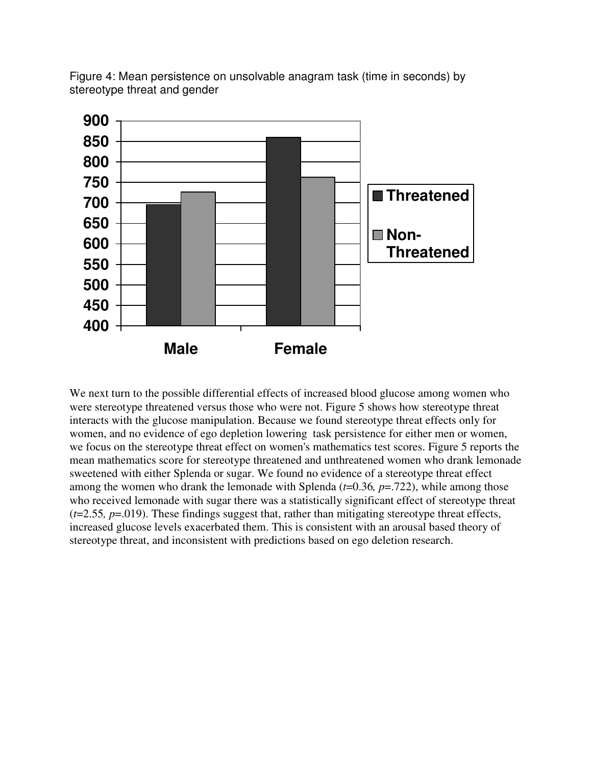

Figure 4: Mean persistence on unsolvable anagram task (time in seconds) by stereotype threat and gender

We next turn to the possible differential effects of increased blood glucose among women who were stereotype threatened versus those who were not. Figure 5 shows how stereotype threat interacts with the glucose manipulation. Because we found stereotype threat effects only for women, and no evidence of ego depletion lowering task persistence for either men or women, we focus on the stereotype threat effect on women's mathematics test scores. Figure 5 reports the mean mathematics score for stereotype threatened and unthreatened women who drank lemonade sweetened with either Splenda or sugar. We found no evidence of a stereotype threat effect among the women who drank the lemonade with Splenda (*t*=0.36*, p*=.722), while among those who received lemonade with sugar there was a statistically significant effect of stereotype threat (*t*=2.55*, p*=.019). These findings suggest that, rather than mitigating stereotype threat effects, increased glucose levels exacerbated them. This is consistent with an arousal based theory of stereotype threat, and inconsistent with predictions based on ego deletion research.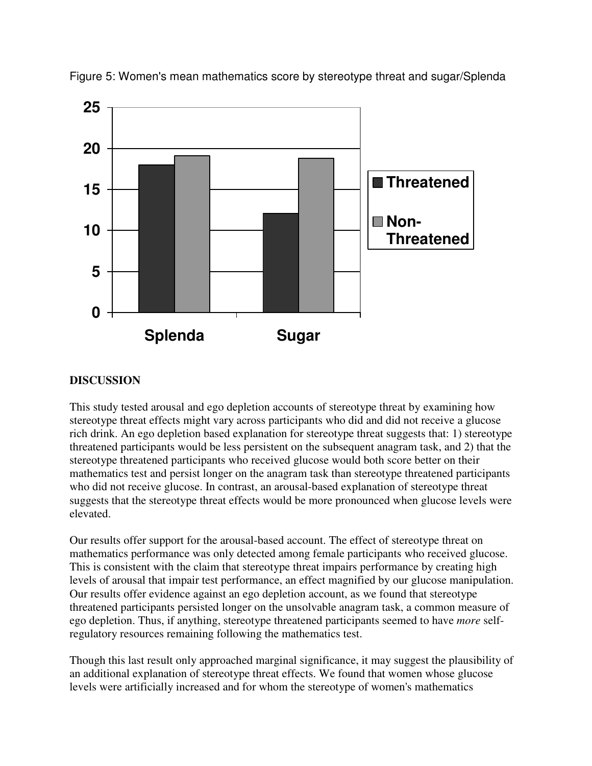

Figure 5: Women's mean mathematics score by stereotype threat and sugar/Splenda

## **DISCUSSION**

This study tested arousal and ego depletion accounts of stereotype threat by examining how stereotype threat effects might vary across participants who did and did not receive a glucose rich drink. An ego depletion based explanation for stereotype threat suggests that: 1) stereotype threatened participants would be less persistent on the subsequent anagram task, and 2) that the stereotype threatened participants who received glucose would both score better on their mathematics test and persist longer on the anagram task than stereotype threatened participants who did not receive glucose. In contrast, an arousal-based explanation of stereotype threat suggests that the stereotype threat effects would be more pronounced when glucose levels were elevated.

Our results offer support for the arousal-based account. The effect of stereotype threat on mathematics performance was only detected among female participants who received glucose. This is consistent with the claim that stereotype threat impairs performance by creating high levels of arousal that impair test performance, an effect magnified by our glucose manipulation. Our results offer evidence against an ego depletion account, as we found that stereotype threatened participants persisted longer on the unsolvable anagram task, a common measure of ego depletion. Thus, if anything, stereotype threatened participants seemed to have *more* selfregulatory resources remaining following the mathematics test.

Though this last result only approached marginal significance, it may suggest the plausibility of an additional explanation of stereotype threat effects. We found that women whose glucose levels were artificially increased and for whom the stereotype of women's mathematics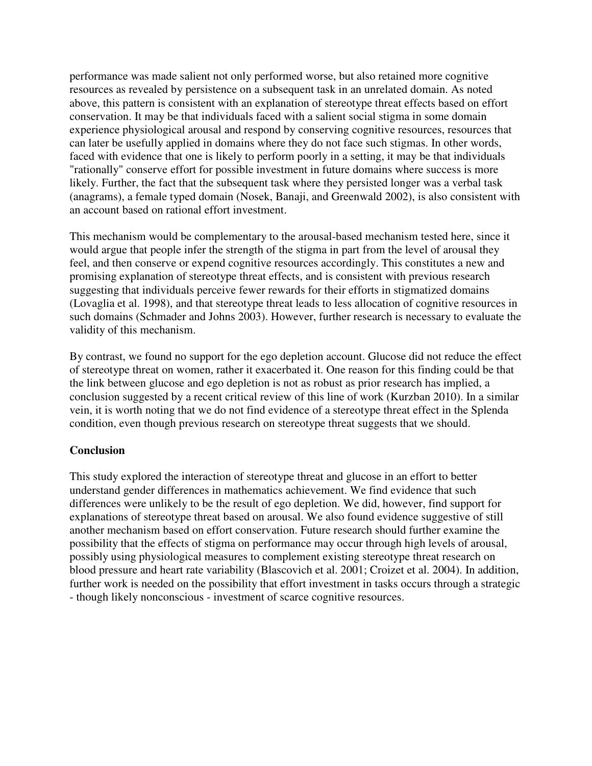performance was made salient not only performed worse, but also retained more cognitive resources as revealed by persistence on a subsequent task in an unrelated domain. As noted above, this pattern is consistent with an explanation of stereotype threat effects based on effort conservation. It may be that individuals faced with a salient social stigma in some domain experience physiological arousal and respond by conserving cognitive resources, resources that can later be usefully applied in domains where they do not face such stigmas. In other words, faced with evidence that one is likely to perform poorly in a setting, it may be that individuals "rationally" conserve effort for possible investment in future domains where success is more likely. Further, the fact that the subsequent task where they persisted longer was a verbal task (anagrams), a female typed domain (Nosek, Banaji, and Greenwald 2002), is also consistent with an account based on rational effort investment.

This mechanism would be complementary to the arousal-based mechanism tested here, since it would argue that people infer the strength of the stigma in part from the level of arousal they feel, and then conserve or expend cognitive resources accordingly. This constitutes a new and promising explanation of stereotype threat effects, and is consistent with previous research suggesting that individuals perceive fewer rewards for their efforts in stigmatized domains (Lovaglia et al. 1998), and that stereotype threat leads to less allocation of cognitive resources in such domains (Schmader and Johns 2003). However, further research is necessary to evaluate the validity of this mechanism.

By contrast, we found no support for the ego depletion account. Glucose did not reduce the effect of stereotype threat on women, rather it exacerbated it. One reason for this finding could be that the link between glucose and ego depletion is not as robust as prior research has implied, a conclusion suggested by a recent critical review of this line of work (Kurzban 2010). In a similar vein, it is worth noting that we do not find evidence of a stereotype threat effect in the Splenda condition, even though previous research on stereotype threat suggests that we should.

#### **Conclusion**

This study explored the interaction of stereotype threat and glucose in an effort to better understand gender differences in mathematics achievement. We find evidence that such differences were unlikely to be the result of ego depletion. We did, however, find support for explanations of stereotype threat based on arousal. We also found evidence suggestive of still another mechanism based on effort conservation. Future research should further examine the possibility that the effects of stigma on performance may occur through high levels of arousal, possibly using physiological measures to complement existing stereotype threat research on blood pressure and heart rate variability (Blascovich et al. 2001; Croizet et al. 2004). In addition, further work is needed on the possibility that effort investment in tasks occurs through a strategic - though likely nonconscious - investment of scarce cognitive resources.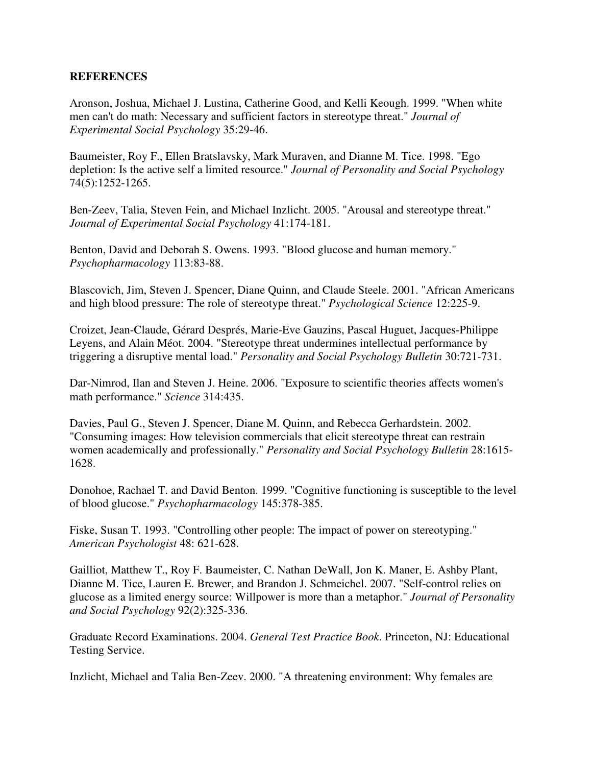#### **REFERENCES**

Aronson, Joshua, Michael J. Lustina, Catherine Good, and Kelli Keough. 1999. "When white men can't do math: Necessary and sufficient factors in stereotype threat." *Journal of Experimental Social Psychology* 35:29-46.

Baumeister, Roy F., Ellen Bratslavsky, Mark Muraven, and Dianne M. Tice. 1998. "Ego depletion: Is the active self a limited resource." *Journal of Personality and Social Psychology* 74(5):1252-1265.

Ben-Zeev, Talia, Steven Fein, and Michael Inzlicht. 2005. "Arousal and stereotype threat." *Journal of Experimental Social Psychology* 41:174-181.

Benton, David and Deborah S. Owens. 1993. "Blood glucose and human memory." *Psychopharmacology* 113:83-88.

Blascovich, Jim, Steven J. Spencer, Diane Quinn, and Claude Steele. 2001. "African Americans and high blood pressure: The role of stereotype threat." *Psychological Science* 12:225-9.

Croizet, Jean-Claude, Gérard Després, Marie-Eve Gauzins, Pascal Huguet, Jacques-Philippe Leyens, and Alain Méot. 2004. "Stereotype threat undermines intellectual performance by triggering a disruptive mental load." *Personality and Social Psychology Bulletin* 30:721-731.

Dar-Nimrod, Ilan and Steven J. Heine. 2006. "Exposure to scientific theories affects women's math performance." *Science* 314:435.

Davies, Paul G., Steven J. Spencer, Diane M. Quinn, and Rebecca Gerhardstein. 2002. "Consuming images: How television commercials that elicit stereotype threat can restrain women academically and professionally." *Personality and Social Psychology Bulletin* 28:1615- 1628.

Donohoe, Rachael T. and David Benton. 1999. "Cognitive functioning is susceptible to the level of blood glucose." *Psychopharmacology* 145:378-385.

Fiske, Susan T. 1993. "Controlling other people: The impact of power on stereotyping." *American Psychologist* 48: 621-628.

Gailliot, Matthew T., Roy F. Baumeister, C. Nathan DeWall, Jon K. Maner, E. Ashby Plant, Dianne M. Tice, Lauren E. Brewer, and Brandon J. Schmeichel. 2007. "Self-control relies on glucose as a limited energy source: Willpower is more than a metaphor." *Journal of Personality and Social Psychology* 92(2):325-336.

Graduate Record Examinations. 2004. *General Test Practice Book*. Princeton, NJ: Educational Testing Service.

Inzlicht, Michael and Talia Ben-Zeev. 2000. "A threatening environment: Why females are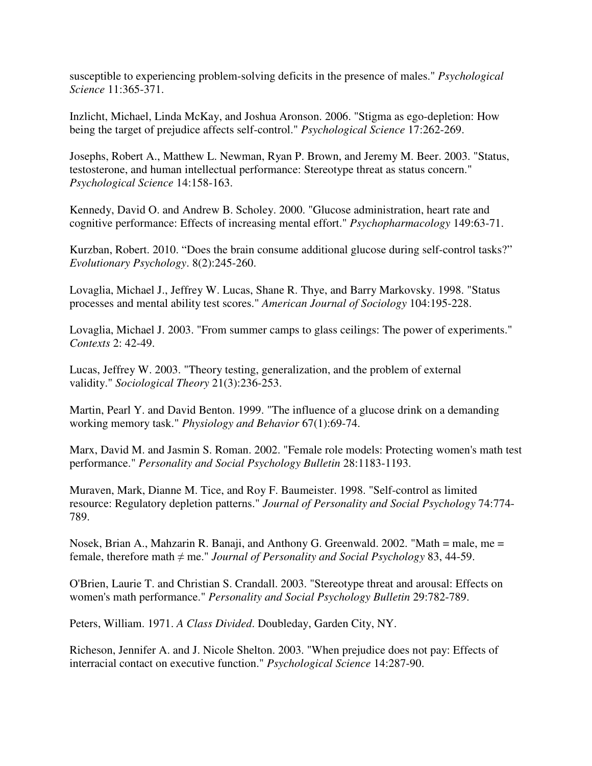susceptible to experiencing problem-solving deficits in the presence of males." *Psychological Science* 11:365-371.

Inzlicht, Michael, Linda McKay, and Joshua Aronson. 2006. "Stigma as ego-depletion: How being the target of prejudice affects self-control." *Psychological Science* 17:262-269.

Josephs, Robert A., Matthew L. Newman, Ryan P. Brown, and Jeremy M. Beer. 2003. "Status, testosterone, and human intellectual performance: Stereotype threat as status concern." *Psychological Science* 14:158-163.

Kennedy, David O. and Andrew B. Scholey. 2000. "Glucose administration, heart rate and cognitive performance: Effects of increasing mental effort." *Psychopharmacology* 149:63-71.

Kurzban, Robert. 2010. "Does the brain consume additional glucose during self-control tasks?" *Evolutionary Psychology*. 8(2):245-260.

Lovaglia, Michael J., Jeffrey W. Lucas, Shane R. Thye, and Barry Markovsky. 1998. "Status processes and mental ability test scores." *American Journal of Sociology* 104:195-228.

Lovaglia, Michael J. 2003. "From summer camps to glass ceilings: The power of experiments." *Contexts* 2: 42-49.

Lucas, Jeffrey W. 2003. "Theory testing, generalization, and the problem of external validity." *Sociological Theory* 21(3):236-253.

Martin, Pearl Y. and David Benton. 1999. "The influence of a glucose drink on a demanding working memory task." *Physiology and Behavior* 67(1):69-74.

Marx, David M. and Jasmin S. Roman. 2002. "Female role models: Protecting women's math test performance." *Personality and Social Psychology Bulletin* 28:1183-1193.

Muraven, Mark, Dianne M. Tice, and Roy F. Baumeister. 1998. "Self-control as limited resource: Regulatory depletion patterns." *Journal of Personality and Social Psychology* 74:774- 789.

Nosek, Brian A., Mahzarin R. Banaji, and Anthony G. Greenwald. 2002. "Math = male, me = female, therefore math ≠ me." *Journal of Personality and Social Psychology* 83, 44-59.

O'Brien, Laurie T. and Christian S. Crandall. 2003. "Stereotype threat and arousal: Effects on women's math performance." *Personality and Social Psychology Bulletin* 29:782-789.

Peters, William. 1971. *A Class Divided*. Doubleday, Garden City, NY.

Richeson, Jennifer A. and J. Nicole Shelton. 2003. "When prejudice does not pay: Effects of interracial contact on executive function." *Psychological Science* 14:287-90.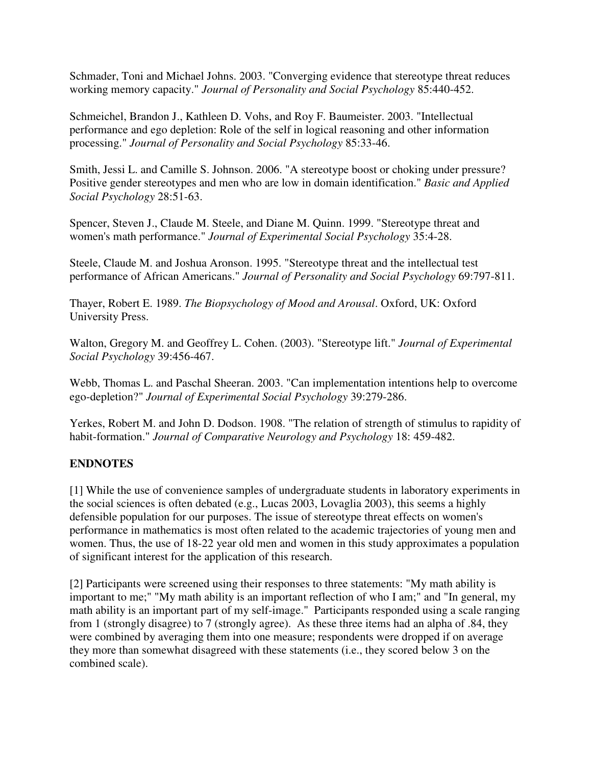Schmader, Toni and Michael Johns. 2003. "Converging evidence that stereotype threat reduces working memory capacity." *Journal of Personality and Social Psychology* 85:440-452.

Schmeichel, Brandon J., Kathleen D. Vohs, and Roy F. Baumeister. 2003. "Intellectual performance and ego depletion: Role of the self in logical reasoning and other information processing." *Journal of Personality and Social Psychology* 85:33-46.

Smith, Jessi L. and Camille S. Johnson. 2006. "A stereotype boost or choking under pressure? Positive gender stereotypes and men who are low in domain identification." *Basic and Applied Social Psychology* 28:51-63.

Spencer, Steven J., Claude M. Steele, and Diane M. Quinn. 1999. "Stereotype threat and women's math performance." *Journal of Experimental Social Psychology* 35:4-28.

Steele, Claude M. and Joshua Aronson. 1995. "Stereotype threat and the intellectual test performance of African Americans." *Journal of Personality and Social Psychology* 69:797-811.

Thayer, Robert E. 1989. *The Biopsychology of Mood and Arousal*. Oxford, UK: Oxford University Press.

Walton, Gregory M. and Geoffrey L. Cohen. (2003). "Stereotype lift." *Journal of Experimental Social Psychology* 39:456-467.

Webb, Thomas L. and Paschal Sheeran. 2003. "Can implementation intentions help to overcome ego-depletion?" *Journal of Experimental Social Psychology* 39:279-286.

Yerkes, Robert M. and John D. Dodson. 1908. "The relation of strength of stimulus to rapidity of habit-formation." *Journal of Comparative Neurology and Psychology* 18: 459-482.

## **ENDNOTES**

[1] While the use of convenience samples of undergraduate students in laboratory experiments in the social sciences is often debated (e.g., Lucas 2003, Lovaglia 2003), this seems a highly defensible population for our purposes. The issue of stereotype threat effects on women's performance in mathematics is most often related to the academic trajectories of young men and women. Thus, the use of 18-22 year old men and women in this study approximates a population of significant interest for the application of this research.

[2] Participants were screened using their responses to three statements: "My math ability is important to me;" "My math ability is an important reflection of who I am;" and "In general, my math ability is an important part of my self-image." Participants responded using a scale ranging from 1 (strongly disagree) to 7 (strongly agree). As these three items had an alpha of .84, they were combined by averaging them into one measure; respondents were dropped if on average they more than somewhat disagreed with these statements (i.e., they scored below 3 on the combined scale).